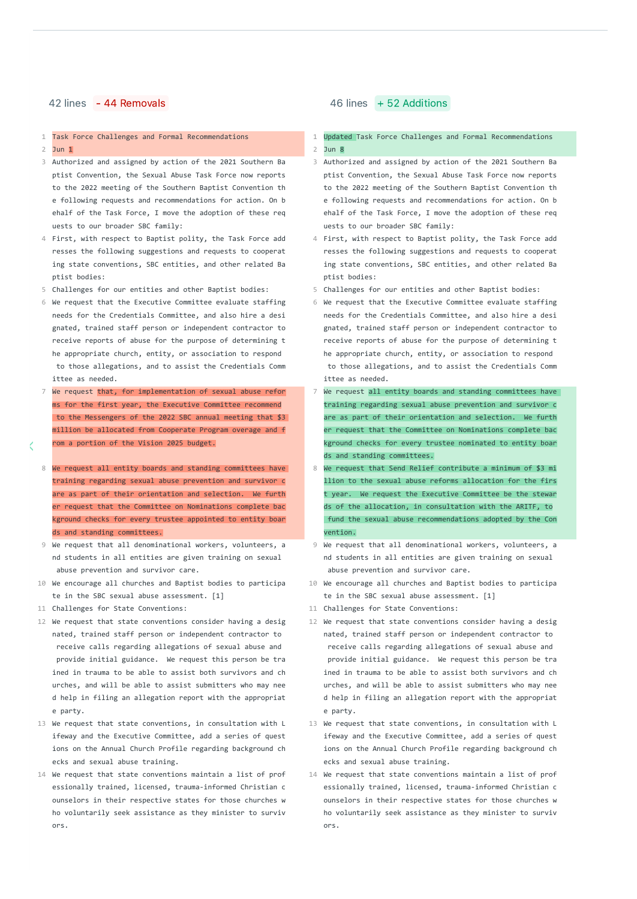1 Task Force Challenges and Formal Recommendations 1 1

### 2 Jun <mark>1</mark> 2 August 2014 12:00 to the contract of the contract of the contract 2

- 3 3 Authorized and assigned by action of the 2021 Southern Ba ptist Convention, the Sexual Abuse Task Force now reports to the 2022 meeting of the Southern Baptist Convention th e following requests and recommendations for action. On b ehalf of the Task Force, I move the adoption of these req uests to our broader SBC family:
- 4 4 First, with respect to Baptist polity, the Task Force add resses the following suggestions and requests to cooperat ing state conventions, SBC entities, and other related Ba ptist bodies:
- 5 Challenges for our entities and other Baptist bodies:
- 6 6 We request that the Executive Committee evaluate staffing needs for the Credentials Committee, and also hire a desi gnated, trained staff person or independent contractor to receive reports of abuse for the purpose of determining t he appropriate church, entity, or association to respond to those allegations, and to assist the Credentials Comm ittee as needed.
- 7 We request that, for implementation of sexual abuse refor **T**  $\frac{1}{2}$ ms for the first year, the Executive Committee recommend to the Messengers of the 2022 SBC annual meeting that \$3 million be allocated from Cooperate Program overage and f rom a portion of the Vision 2025 budget.
- 8 We request all entity boards and standing committees have **8** training regarding sexual abuse prevention and survivor c are as part of their orientation and selection. We furth er request that the Committee on Nominations complete bac kground checks for every trustee appointed to entity boar ds and standing committees.
- 9 9 We request that all denominational workers, volunteers, a nd students in all entities are given training on sexual abuse prevention and survivor care.
- 10 10 We encourage all churches and Baptist bodies to participa te in the SBC sexual abuse assessment. [1]
- 11 Challenges for State Conventions:
- 12 We request that state conventions consider having a desig 12 nated, trained staff person or independent contractor to receive calls regarding allegations of sexual abuse and provide initial guidance. We request this person be tra ined in trauma to be able to assist both survivors and ch urches, and will be able to assist submitters who may nee d help in filing an allegation report with the appropriat e party.
- 13 13 We request that state conventions, in consultation with L ifeway and the Executive Committee, add a series of quest ions on the Annual Church Profile regarding background ch ecks and sexual abuse training.
- 14 14 We request that state conventions maintain a list of prof essionally trained, licensed, trauma-informed Christian c ounselors in their respective states for those churches w ho voluntarily seek assistance as they minister to surviv ors.

# 42 lines - 44 Removals **46 lines** + 52 Additions

- Updated Task Force Challenges and Formal Recommendations Jun <mark>1</mark> Jun 8 Jun 8 Jun 8 Jun 8 Jun 8 Jun 8 Jun 8 Jun 8 Jun 8 Jun 8 Jun 8 Jun 8 Jun 8 Jun 8
	- 3 Authorized and assigned by action of the 2021 Southern Ba ptist Convention, the Sexual Abuse Task Force now reports to the 2022 meeting of the Southern Baptist Convention th e following requests and recommendations for action. On b ehalf of the Task Force, I move the adoption of these req uests to our broader SBC family:
	- 4 First, with respect to Baptist polity, the Task Force add resses the following suggestions and requests to cooperat ing state conventions, SBC entities, and other related Ba ptist bodies:
	- 5 Challenges for our entities and other Baptist bodies:
	- 6 We request that the Executive Committee evaluate staffing needs for the Credentials Committee, and also hire a desi gnated, trained staff person or independent contractor to receive reports of abuse for the purpose of determining t he appropriate church, entity, or association to respond to those allegations, and to assist the Credentials Comm ittee as needed.
	- We request all entity boards and standing committees have training regarding sexual abuse prevention and survivor c are as part of their orientation and selection. We furth er request that the Committee on Nominations complete bac kground checks for every trustee nominated to entity boar ds and standing committees.
	- We request that Send Relief contribute a minimum of \$3 mi llion to the sexual abuse reforms allocation for the firs t year. We request the Executive Committee be the stewar ds of the allocation, in consultation with the ARITF, to fund the sexual abuse recommendations adopted by the Con vention.
	- 9 We request that all denominational workers, volunteers, a nd students in all entities are given training on sexual abuse prevention and survivor care.
	- 10 We encourage all churches and Baptist bodies to participa te in the SBC sexual abuse assessment. [1]
	- 11 Challenges for State Conventions:
	- 12 We request that state conventions consider having a desig nated, trained staff person or independent contractor to receive calls regarding allegations of sexual abuse and provide initial guidance. We request this person be tra ined in trauma to be able to assist both survivors and ch urches, and will be able to assist submitters who may nee d help in filing an allegation report with the appropriat e party.
	- 13 We request that state conventions, in consultation with L ifeway and the Executive Committee, add a series of quest ions on the Annual Church Profile regarding background ch ecks and sexual abuse training.
	- 14 We request that state conventions maintain a list of prof essionally trained, licensed, trauma-informed Christian c ounselors in their respective states for those churches w ho voluntarily seek assistance as they minister to surviv ors.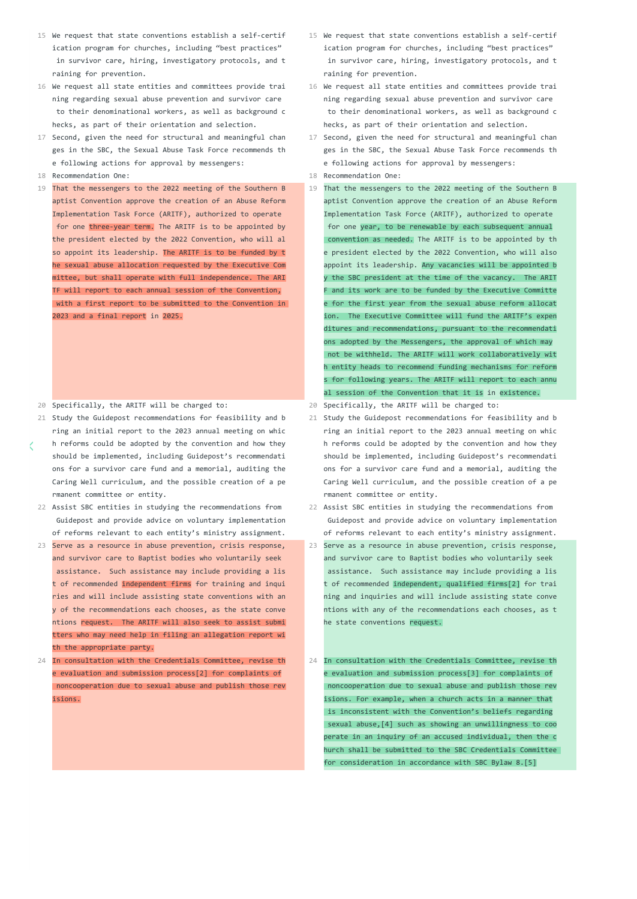- 15 15 We request that state conventions establish a self-certif ication program for churches, including "best practices" in survivor care, hiring, investigatory protocols, and t raining for prevention.
- 16 16 We request all state entities and committees provide trai ning regarding sexual abuse prevention and survivor care to their denominational workers, as well as background c hecks, as part of their orientation and selection.
- 17 17 Second, given the need for structural and meaningful chan ges in the SBC, the Sexual Abuse Task Force recommends th e following actions for approval by messengers:
- 18 Recommendation One:
- 19 19 That the messengers to the 2022 meeting of the Southern B aptist Convention approve the creation of an Abuse Reform Implementation Task Force (ARITF), authorized to operate for one three-year term. The ARITF is to be appointed by the president elected by the 2022 Convention, who will al so appoint its leadership. The ARITF is to be funded by t he sexual abuse allocation requested by the Executive Com mittee, but shall operate with full independence. The ARI TF will report to each annual session of the Convention, with a first report to be submitted to the Convention in 2023 and a final report in 2025.
- 20 20 Specifically, the ARITF will be charged to: Specifically, the ARITF will be charged to:
- 21 21 Study the Guidepost recommendations for feasibility and b ring an initial report to the 2023 annual meeting on whic h reforms could be adopted by the convention and how they
- should be implemented, including Guidepost's recommendati ons for a survivor care fund and a memorial, auditing the Caring Well curriculum, and the possible creation of a pe rmanent committee or entity.
- 22 22 Assist SBC entities in studying the recommendations from Guidepost and provide advice on voluntary implementation of reforms relevant to each entity's ministry assignment.
- 23 23 Serve as a resource in abuse prevention, crisis response, and survivor care to Baptist bodies who voluntarily seek assistance. Such assistance may include providing a lis t of recommended independent firms for training and inqui ries and will include assisting state conventions with an y of the recommendations each chooses, as the state conve ntions request. The ARITF will also seek to assist submi tters who may need help in filing an allegation report wi th the appropriate party.
- 24 24 In consultation with the Credentials Committee, revise th e evaluation and submission process[2] for complaints of noncooperation due to sexual abuse and publish those rev isions.
- 15 We request that state conventions establish a self-certif ication program for churches, including "best practices" in survivor care, hiring, investigatory protocols, and t raining for prevention.
- 16 We request all state entities and committees provide trai ning regarding sexual abuse prevention and survivor care to their denominational workers, as well as background c hecks, as part of their orientation and selection.
- 17 Second, given the need for structural and meaningful chan ges in the SBC, the Sexual Abuse Task Force recommends th e following actions for approval by messengers:
- Recommendation One: Recommendation One:
- That the messengers to the 2022 meeting of the Southern B aptist Convention approve the creation of an Abuse Reform Implementation Task Force (ARITF), authorized to operate for one year, to be renewable by each subsequent annual convention as needed. The ARITF is to be appointed by th e president elected by the 2022 Convention, who will also appoint its leadership. Any vacancies will be appointed b y the SBC president at the time of the vacancy. The ARIT F and its work are to be funded by the Executive Committe e for the first year from the sexual abuse reform allocat ion. The Executive Committee will fund the ARITF's expen ditures and recommendations, pursuant to the recommendati ons adopted by the Messengers, the approval of which may not be withheld. The ARITF will work collaboratively wit h entity heads to recommend funding mechanisms for reform s for following years. The ARITF will report to each annu al session of the Convention that it is in existence.
- 
- 21 Study the Guidepost recommendations for feasibility and b ring an initial report to the 2023 annual meeting on whic h reforms could be adopted by the convention and how they should be implemented, including Guidepost's recommendati ons for a survivor care fund and a memorial, auditing the Caring Well curriculum, and the possible creation of a pe rmanent committee or entity.
- 22 Assist SBC entities in studying the recommendations from Guidepost and provide advice on voluntary implementation of reforms relevant to each entity's ministry assignment.
- 23 Serve as a resource in abuse prevention, crisis response, and survivor care to Baptist bodies who voluntarily seek assistance. Such assistance may include providing a lis t of recommended independent, qualified firms[2] for trai ning and inquiries and will include assisting state conve ntions with any of the recommendations each chooses, as t he state conventions request.
- In consultation with the Credentials Committee, revise th e evaluation and submission process[3] for complaints of noncooperation due to sexual abuse and publish those rev isions. For example, when a church acts in a manner that is inconsistent with the Convention's beliefs regarding sexual abuse,[4] such as showing an unwillingness to coo perate in an inquiry of an accused individual, then the c hurch shall be submitted to the SBC Credentials Committee for consideration in accordance with SBC Bylaw 8.[5]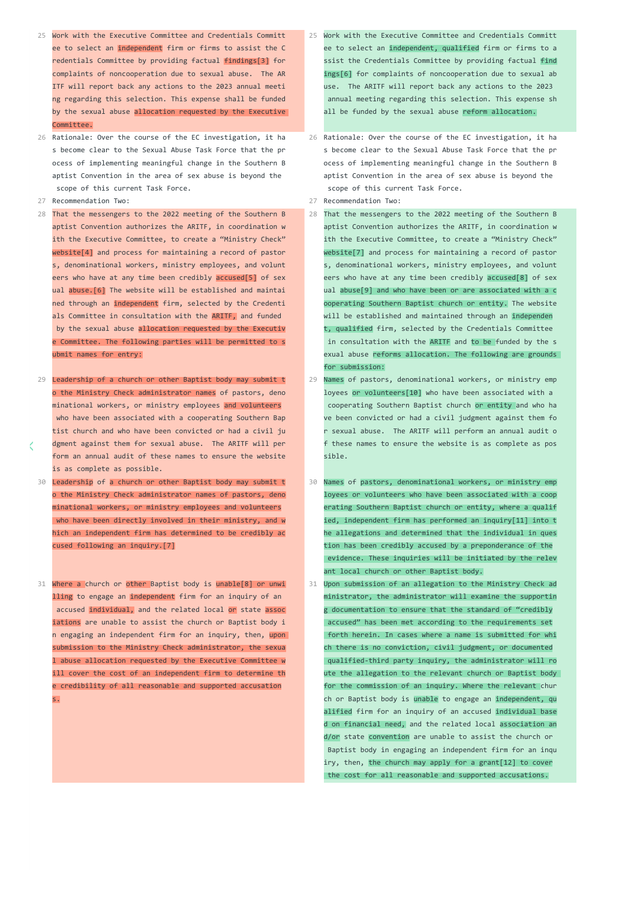- 25 25 Work with the Executive Committee and Credentials Committ ee to select an independent firm or firms to assist the C redentials Committee by providing factual findings[3] for complaints of noncooperation due to sexual abuse. The AR ITF will report back any actions to the 2023 annual meeti ng regarding this selection. This expense shall be funded by the sexual abuse allocation requested by the Executive Committee.
- 26 26 Rationale: Over the course of the EC investigation, it ha s become clear to the Sexual Abuse Task Force that the pr ocess of implementing meaningful change in the Southern B aptist Convention in the area of sex abuse is beyond the scope of this current Task Force.
- 27 Recommendation Two:
- 28 28 That the messengers to the 2022 meeting of the Southern B aptist Convention authorizes the ARITF, in coordination w ith the Executive Committee, to create a "Ministry Check" website<sup>[4]</sup> and process for maintaining a record of pastor s, denominational workers, ministry employees, and volunt eers who have at any time been credibly accused[5] of sex ual abuse.[6] The website will be established and maintai ned through an independent firm, selected by the Credenti als Committee in consultation with the ARITF, and funded by the sexual abuse allocation requested by the Executiv e Committee. The following parties will be permitted to s ubmit names for entry:
- 29 29 Leadership of a church or other Baptist body may submit t o the Ministry Check administrator names of pastors, deno minational workers, or ministry employees and volunteers who have been associated with a cooperating Southern Bap tist church and who have been convicted or had a civil ju dgment against them for sexual abuse. The ARITF will per form an annual audit of these names to ensure the website is as complete as possible.
- 30 30 Leadership of a church or other Baptist body may submit t o the Ministry Check administrator names of pastors, deno minational workers, or ministry employees and volunteers who have been directly involved in their ministry, and w hich an independent firm has determined to be credibly ac cused following an inquiry.[7]
- 31 31 Where a church or other Baptist body is unable[8] or unwi lling to engage an independent firm for an inquiry of an accused individual, and the related local or state assoc iations are unable to assist the church or Baptist body i n engaging an independent firm for an inquiry, then, upon submission to the Ministry Check administrator, the sexua l abuse allocation requested by the Executive Committee w ill cover the cost of an independent firm to determine th e credibility of all reasonable and supported accusation s.
- 25 Work with the Executive Committee and Credentials Committ ee to select an independent, qualified firm or firms to a ssist the Credentials Committee by providing factual find ings[6] for complaints of noncooperation due to sexual ab use. The ARITF will report back any actions to the 2023 annual meeting regarding this selection. This expense sh all be funded by the sexual abuse reform allocation.
- 26 Rationale: Over the course of the EC investigation, it ha s become clear to the Sexual Abuse Task Force that the pr ocess of implementing meaningful change in the Southern B aptist Convention in the area of sex abuse is beyond the scope of this current Task Force.
- 27 Recommendation Two:
- That the messengers to the 2022 meeting of the Southern B aptist Convention authorizes the ARITF, in coordination w ith the Executive Committee, to create a "Ministry Check" website[7] and process for maintaining a record of pastor s, denominational workers, ministry employees, and volunt eers who have at any time been credibly accused[8] of sex ual abuse[9] and who have been or are associated with a c ooperating Southern Baptist church or entity. The website will be established and maintained through an independen t, qualified firm, selected by the Credentials Committee in consultation with the ARITF and to be funded by the s exual abuse reforms allocation. The following are grounds for submission:
- Names of pastors, denominational workers, or ministry emp loyees or volunteers[10] who have been associated with a cooperating Southern Baptist church or entity and who ha ve been convicted or had a civil judgment against them fo r sexual abuse. The ARITF will perform an annual audit o f these names to ensure the website is as complete as pos sible.
- Names of pastors, denominational workers, or ministry emp loyees or volunteers who have been associated with a coop erating Southern Baptist church or entity, where a qualif ied, independent firm has performed an inquiry[11] into t he allegations and determined that the individual in ques tion has been credibly accused by a preponderance of the evidence. These inquiries will be initiated by the relev ant local church or other Baptist body.
- Upon submission of an allegation to the Ministry Check ad ministrator, the administrator will examine the supportin g documentation to ensure that the standard of "credibly accused" has been met according to the requirements set forth herein. In cases where a name is submitted for whi ch there is no conviction, civil judgment, or documented qualified-third party inquiry, the administrator will ro ute the allegation to the relevant church or Baptist body for the commission of an inquiry. Where the relevant chur ch or Baptist body is unable to engage an independent, qu alified firm for an inquiry of an accused individual base d on financial need, and the related local association an d/or state convention are unable to assist the church or Baptist body in engaging an independent firm for an inqu iry, then, the church may apply for a grant[12] to cover the cost for all reasonable and supported accusations.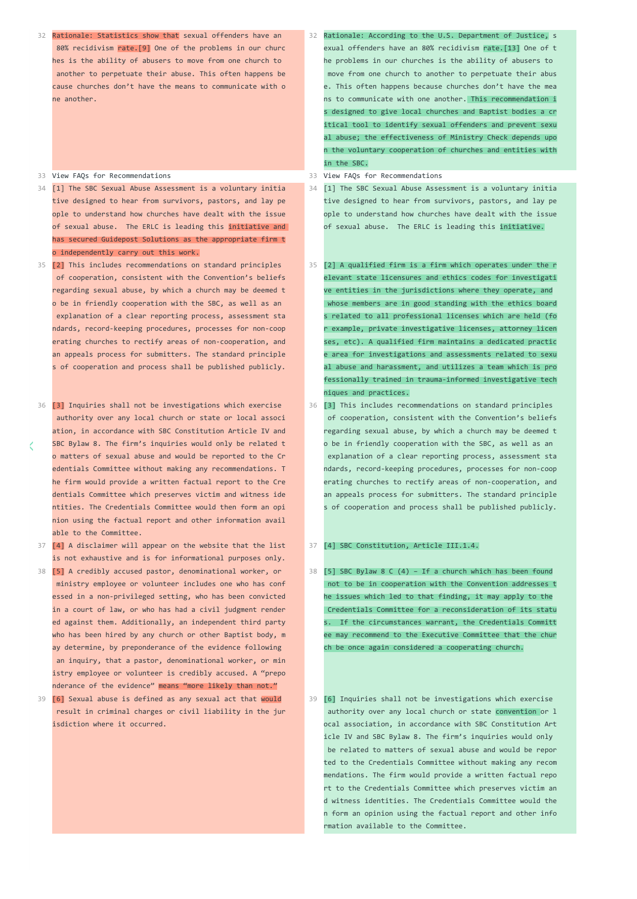32 32 Rationale: Statistics show that sexual offenders have an 80% recidivism rate.<sup>[9]</sup> One of the problems in our churc hes is the ability of abusers to move from one church to another to perpetuate their abuse. This often happens be cause churches don't have the means to communicate with o ne another.

## 33 View FAOs for Recommendations

- 34 34 [1] The SBC Sexual Abuse Assessment is a voluntary initia tive designed to hear from survivors, pastors, and lay pe ople to understand how churches have dealt with the issue of sexual abuse. The ERLC is leading this initiative and has secured Guidepost Solutions as the appropriate firm t o independently carry out this work.
- 35 35 [2] This includes recommendations on standard principles of cooperation, consistent with the Convention's beliefs regarding sexual abuse, by which a church may be deemed t o be in friendly cooperation with the SBC, as well as an explanation of a clear reporting process, assessment sta ndards, record-keeping procedures, processes for non-coop erating churches to rectify areas of non-cooperation, and an appeals process for submitters. The standard principle s of cooperation and process shall be published publicly.
- 36 36 [3] Inquiries shall not be investigations which exercise authority over any local church or state or local associ ation, in accordance with SBC Constitution Article IV and SBC Bylaw 8. The firm's inquiries would only be related t o matters of sexual abuse and would be reported to the Cr edentials Committee without making any recommendations. T he firm would provide a written factual report to the Cre dentials Committee which preserves victim and witness ide ntities. The Credentials Committee would then form an opi nion using the factual report and other information avail able to the Committee.
- 37 37 [4] A disclaimer will appear on the website that the list is not exhaustive and is for informational purposes only.
- 38 38 [5] A credibly accused pastor, denominational worker, or ministry employee or volunteer includes one who has conf essed in a non-privileged setting, who has been convicted in a court of law, or who has had a civil judgment render ed against them. Additionally, an independent third party who has been hired by any church or other Baptist body, m ay determine, by preponderance of the evidence following an inquiry, that a pastor, denominational worker, or min istry employee or volunteer is credibly accused. A "prepo nderance of the evidence" means "more likely than not."
- 39 39 [6] Sexual abuse is defined as any sexual act that would result in criminal charges or civil liability in the jur isdiction where it occurred.
- 82 Rationale: According to the U.S. Department of Justice, s exual offenders have an 80% recidivism rate.[13] One of t he problems in our churches is the ability of abusers to move from one church to another to perpetuate their abus e. This often happens because churches don't have the mea ns to communicate with one another. This recommendation i s designed to give local churches and Baptist bodies a cr itical tool to identify sexual offenders and prevent sexu al abuse; the effectiveness of Ministry Check depends upo n the voluntary cooperation of churches and entities with in the SBC.
- 33 View FAOs for Recommendations
- [1] The SBC Sexual Abuse Assessment is a voluntary initia tive designed to hear from survivors, pastors, and lay pe ople to understand how churches have dealt with the issue of sexual abuse. The ERLC is leading this initiative.
- [2] A qualified firm is a firm which operates under the r elevant state licensures and ethics codes for investigati ve entities in the jurisdictions where they operate, and whose members are in good standing with the ethics board s related to all professional licenses which are held (fo r example, private investigative licenses, attorney licen ses, etc). A qualified firm maintains a dedicated practic e area for investigations and assessments related to sexu al abuse and harassment, and utilizes a team which is pro fessionally trained in trauma-informed investigative tech niques and practices.
- [3] This includes recommendations on standard principles of cooperation, consistent with the Convention's beliefs regarding sexual abuse, by which a church may be deemed t o be in friendly cooperation with the SBC, as well as an explanation of a clear reporting process, assessment sta ndards, record-keeping procedures, processes for non-coop erating churches to rectify areas of non-cooperation, and an appeals process for submitters. The standard principle s of cooperation and process shall be published publicly.

## [4] SBC Constitution, Article III.1.4.

 $38$  [5] SBC Bylaw 8 C (4) - If a church which has been found not to be in cooperation with the Convention addresses t he issues which led to that finding, it may apply to the Credentials Committee for a reconsideration of its statu s. If the circumstances warrant, the Credentials Committ ee may recommend to the Executive Committee that the chur ch be once again considered a cooperating church.

[6] Inquiries shall not be investigations which exercise authority over any local church or state convention or l ocal association, in accordance with SBC Constitution Art icle IV and SBC Bylaw 8. The firm's inquiries would only be related to matters of sexual abuse and would be repor ted to the Credentials Committee without making any recom mendations. The firm would provide a written factual repo rt to the Credentials Committee which preserves victim an d witness identities. The Credentials Committee would the n form an opinion using the factual report and other info rmation available to the Committee.